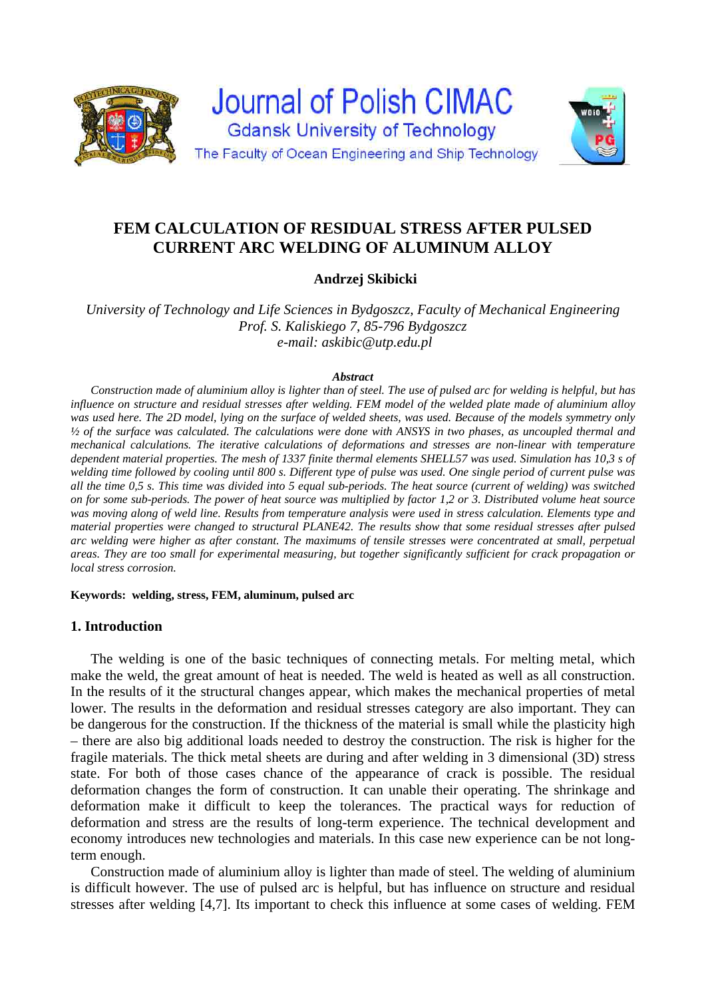

# **FEM CALCULATION OF RESIDUAL STRESS AFTER PULSED CURRENT ARC WELDING OF ALUMINUM ALLOY**

## **Andrzej Skibicki**

*University of Technology and Life Sciences in Bydgoszcz, Faculty of Mechanical Engineering Prof. S. Kaliskiego 7, 85-796 Bydgoszcz e-mail: askibic@utp.edu.pl* 

#### *Abstract*

*Construction made of aluminium alloy is lighter than of steel. The use of pulsed arc for welding is helpful, but has influence on structure and residual stresses after welding. FEM model of the welded plate made of aluminium alloy was used here. The 2D model, lying on the surface of welded sheets, was used. Because of the models symmetry only ½ of the surface was calculated. The calculations were done with ANSYS in two phases, as uncoupled thermal and mechanical calculations. The iterative calculations of deformations and stresses are non-linear with temperature dependent material properties. The mesh of 1337 finite thermal elements SHELL57 was used. Simulation has 10,3 s of welding time followed by cooling until 800 s. Different type of pulse was used. One single period of current pulse was all the time 0,5 s. This time was divided into 5 equal sub-periods. The heat source (current of welding) was switched on for some sub-periods. The power of heat source was multiplied by factor 1,2 or 3. Distributed volume heat source was moving along of weld line. Results from temperature analysis were used in stress calculation. Elements type and material properties were changed to structural PLANE42. The results show that some residual stresses after pulsed arc welding were higher as after constant. The maximums of tensile stresses were concentrated at small, perpetual areas. They are too small for experimental measuring, but together significantly sufficient for crack propagation or local stress corrosion.* 

**Keywords: welding, stress, FEM, aluminum, pulsed arc** 

### **1. Introduction**

The welding is one of the basic techniques of connecting metals. For melting metal, which make the weld, the great amount of heat is needed. The weld is heated as well as all construction. In the results of it the structural changes appear, which makes the mechanical properties of metal lower. The results in the deformation and residual stresses category are also important. They can be dangerous for the construction. If the thickness of the material is small while the plasticity high – there are also big additional loads needed to destroy the construction. The risk is higher for the fragile materials. The thick metal sheets are during and after welding in 3 dimensional (3D) stress state. For both of those cases chance of the appearance of crack is possible. The residual deformation changes the form of construction. It can unable their operating. The shrinkage and deformation make it difficult to keep the tolerances. The practical ways for reduction of deformation and stress are the results of long-term experience. The technical development and economy introduces new technologies and materials. In this case new experience can be not longterm enough.

Construction made of aluminium alloy is lighter than made of steel. The welding of aluminium is difficult however. The use of pulsed arc is helpful, but has influence on structure and residual stresses after welding [4,7]. Its important to check this influence at some cases of welding. FEM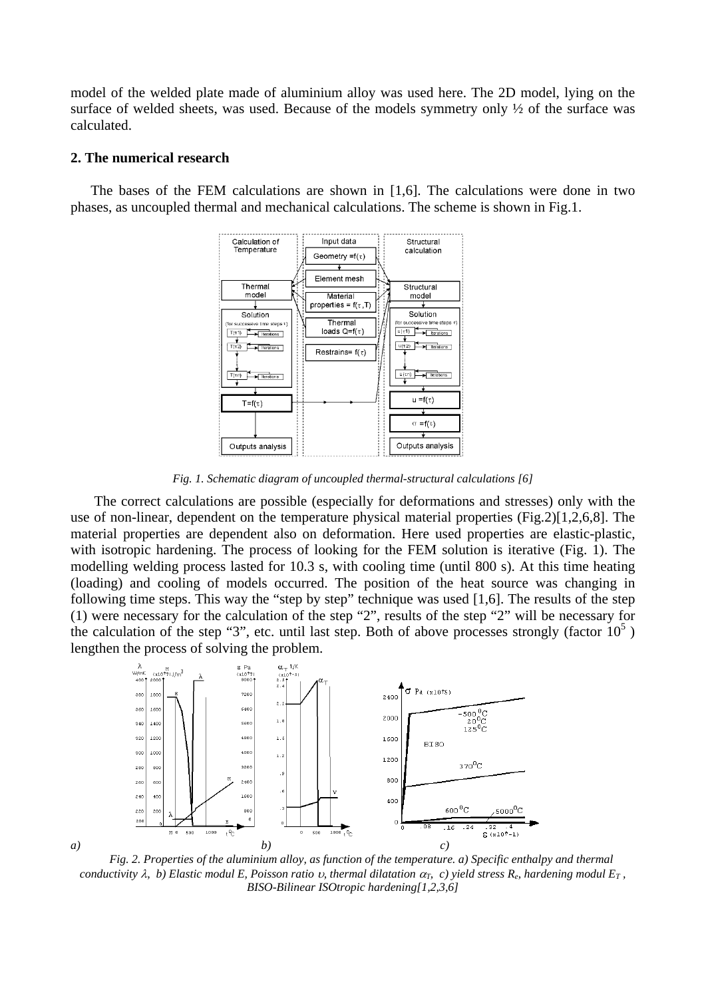model of the welded plate made of aluminium alloy was used here. The 2D model, lying on the surface of welded sheets, was used. Because of the models symmetry only ½ of the surface was calculated.

#### **2. The numerical research**

The bases of the FEM calculations are shown in [1,6]. The calculations were done in two phases, as uncoupled thermal and mechanical calculations. The scheme is shown in Fig.1.



*Fig. 1. Schematic diagram of uncoupled thermal-structural calculations [6]* 

 The correct calculations are possible (especially for deformations and stresses) only with the use of non-linear, dependent on the temperature physical material properties (Fig.2)[1,2,6,8]. The material properties are dependent also on deformation. Here used properties are elastic-plastic, with isotropic hardening. The process of looking for the FEM solution is iterative (Fig. 1). The modelling welding process lasted for 10.3 s, with cooling time (until 800 s). At this time heating (loading) and cooling of models occurred. The position of the heat source was changing in following time steps. This way the "step by step" technique was used [1,6]. The results of the step (1) were necessary for the calculation of the step "2", results of the step "2" will be necessary for the calculation of the step "3", etc. until last step. Both of above processes strongly (factor  $10^5$ ) lengthen the process of solving the problem.



*Fig. 2. Properties of the aluminium alloy, as function of the temperature. a) Specific enthalpy and thermal conductivity*  $\lambda$ *, b) Elastic modul E, Poisson ratio v, thermal dilatation*  $\alpha_T$ *, c) yield stress R<sub>e</sub>, hardening modul E<sub>T</sub>, BISO-Bilinear ISOtropic hardening[1,2,3,6]*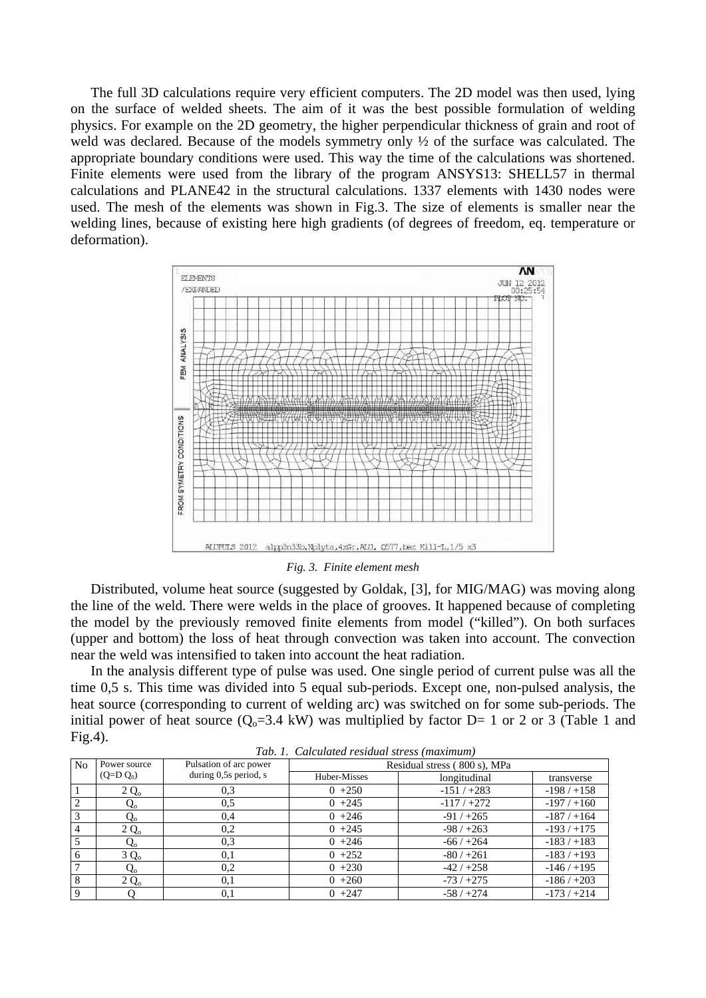The full 3D calculations require very efficient computers. The 2D model was then used, lying on the surface of welded sheets. The aim of it was the best possible formulation of welding physics. For example on the 2D geometry, the higher perpendicular thickness of grain and root of weld was declared. Because of the models symmetry only ½ of the surface was calculated. The appropriate boundary conditions were used. This way the time of the calculations was shortened. Finite elements were used from the library of the program ANSYS13: SHELL57 in thermal calculations and PLANE42 in the structural calculations. 1337 elements with 1430 nodes were used. The mesh of the elements was shown in Fig.3. The size of elements is smaller near the welding lines, because of existing here high gradients (of degrees of freedom, eq. temperature or deformation).



*Fig. 3. Finite element mesh* 

Distributed, volume heat source (suggested by Goldak, [3], for MIG/MAG) was moving along the line of the weld. There were welds in the place of grooves. It happened because of completing the model by the previously removed finite elements from model ("killed"). On both surfaces (upper and bottom) the loss of heat through convection was taken into account. The convection near the weld was intensified to taken into account the heat radiation.

In the analysis different type of pulse was used. One single period of current pulse was all the time 0,5 s. This time was divided into 5 equal sub-periods. Except one, non-pulsed analysis, the heat source (corresponding to current of welding arc) was switched on for some sub-periods. The initial power of heat source  $(O_0=3.4 \text{ kW})$  was multiplied by factor D= 1 or 2 or 3 (Table 1 and  $Fig.4$ ).

| Tab. 1. Calculatea residual stress (maximum) |              |                        |                              |              |             |
|----------------------------------------------|--------------|------------------------|------------------------------|--------------|-------------|
| N <sub>0</sub>                               | Power source | Pulsation of arc power | Residual stress (800 s), MPa |              |             |
|                                              | $(Q= D Q_0)$ | during 0,5s period, s  | Huber-Misses                 | longitudinal | transverse  |
|                                              | $2Q_0$       | 0,3                    | $0 + 250$                    | $-151/+283$  | $-198/+158$ |
| $\overline{c}$                               | $Q_{o}$      | 0,5                    | $0 + 245$                    | $-117/+272$  | $-197/+160$ |
| 3                                            | Q。           | 0,4                    | $0 +246$                     | $-91/+265$   | $-187/+164$ |
| 4                                            | $2Q_0$       | 0,2                    | $0 + 245$                    | $-98/+263$   | $-193/+175$ |
|                                              | $Q_{o}$      | 0.3                    | $0 + 246$                    | $-66/+264$   | $-183/+183$ |
| 6                                            | $3Q_0$       | 0,1                    | $0 + 252$                    | $-80/+261$   | $-183/+193$ |
|                                              | $Q_{o}$      | 0,2                    | $0 + 230$                    | $-42/+258$   | $-146/+195$ |
| 8                                            | $2Q_0$       | 0,1                    | $0 + 260$                    | $-73/+275$   | $-186/+203$ |
| 9                                            |              | 0,1                    | $0 + 247$                    | $-58/+274$   | $-173/+214$ |

*Tab. 1. Calculated residual stress (maximum)*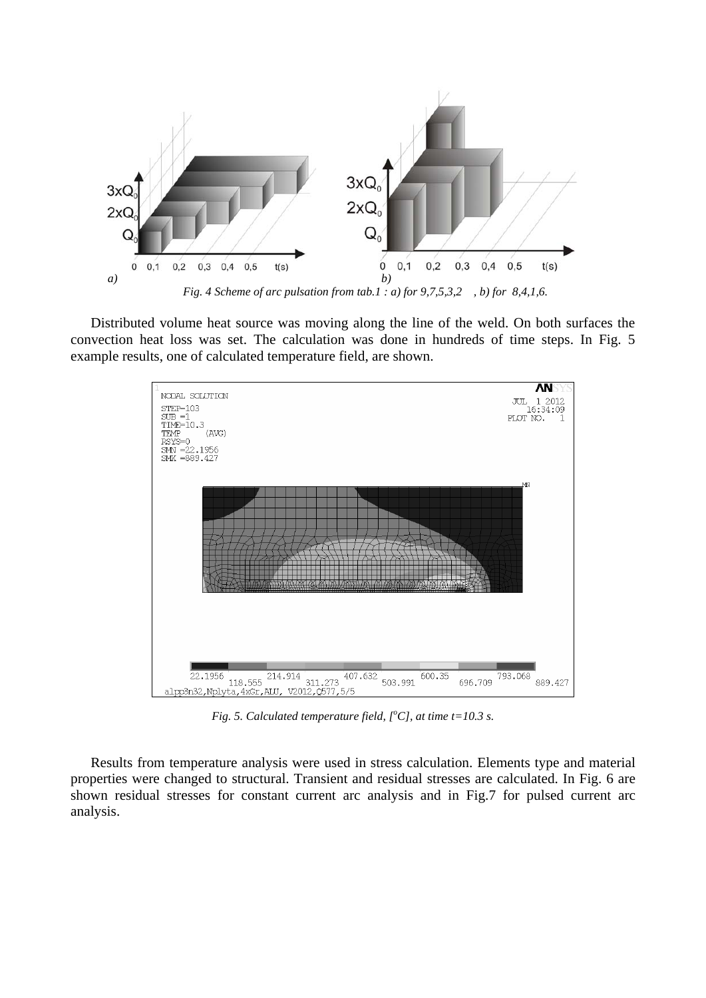

Distributed volume heat source was moving along the line of the weld. On both surfaces the convection heat loss was set. The calculation was done in hundreds of time steps. In Fig. 5 example results, one of calculated temperature field, are shown.



*Fig.* 5. Calculated temperature field,  $[°C]$ , at time t=10.3 s.

Results from temperature analysis were used in stress calculation. Elements type and material properties were changed to structural. Transient and residual stresses are calculated. In Fig. 6 are shown residual stresses for constant current arc analysis and in Fig.7 for pulsed current arc analysis.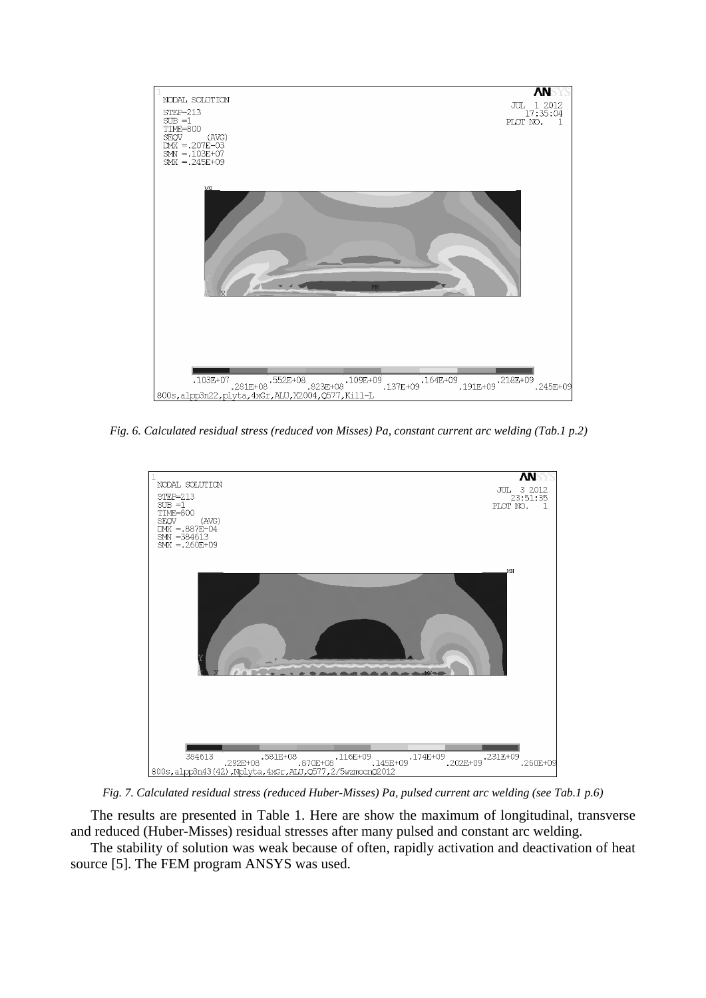

*Fig. 6. Calculated residual stress (reduced von Misses) Pa, constant current arc welding (Tab.1 p.2)* 



*Fig. 7. Calculated residual stress (reduced Huber-Misses) Pa, pulsed current arc welding (see Tab.1 p.6)* 

The results are presented in Table 1. Here are show the maximum of longitudinal, transverse and reduced (Huber-Misses) residual stresses after many pulsed and constant arc welding.

The stability of solution was weak because of often, rapidly activation and deactivation of heat source [5]. The FEM program ANSYS was used.